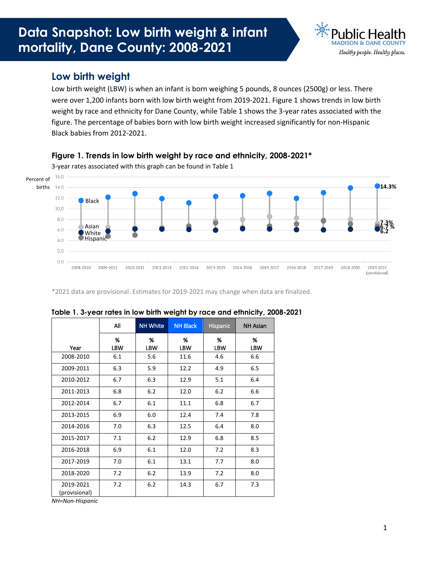

## **Low birth weight**

Low birth weight (LBW) is when an infant is born weighing 5 pounds, 8 ounces (2500g) or less. There were over 1,200 infants born with low birth weight from 2019-2021. Figure 1 shows trends in low birth weight by race and ethnicity for Dane County, while Table 1 shows the 3-year rates associated with the figure. The percentage of babies born with low birth weight increased significantly for non-Hispanic Black babies from 2012-2021.



\*2021 data are provisional. Estimates for 2019-2021 may change when data are finalized.

|                            | All             | <b>NH White</b> | <b>NH Black</b> | Hispanic        | <b>NH Asian</b> |
|----------------------------|-----------------|-----------------|-----------------|-----------------|-----------------|
| Year                       | %<br><b>LBW</b> | %<br>LBW        | %<br><b>LBW</b> | %<br><b>LBW</b> | %<br>LBW        |
| 2008-2010                  | 6.1             | 5.6             | 11.6            | 4.6             | 6.6             |
| 2009-2011                  | 6.3             | 5.9             | 12.2            | 4.9             | 6.5             |
| 2010-2012                  | 6.7             | 6.3             | 12.9            | 5.1             | 6.4             |
| 2011-2013                  | 6.8             | 6.2             | 12.0            | 6.2             | 6.6             |
| 2012-2014                  | 6.7             | 6.1             | 11.1            | 6.8             | 6.7             |
| 2013-2015                  | 6.9             | 6.0             | 12.4            | 7.4             | 7.8             |
| 2014-2016                  | 7.0             | 6.3             | 12.5            | 6.4             | 8.0             |
| 2015-2017                  | 7.1             | 6.2             | 12.9            | 6.8             | 8.5             |
| 2016-2018                  | 6.9             | 6.1             | 12.0            | 7.2             | 8.3             |
| 2017-2019                  | 7.0             | 6.1             | 13.1            | 7.7             | 8.0             |
| 2018-2020                  | 7.2             | 6.2             | 13.9            | 7.2             | 8.0             |
| 2019-2021<br>(provisional) | 7.2             | 6.2             | 14.3            | 6.7             | 7.3             |

|  | Table 1. 3-year rates in low birth weight by race and ethnicity, 2008-2021 |  |
|--|----------------------------------------------------------------------------|--|
|  |                                                                            |  |

*NH=Non-Hispanic*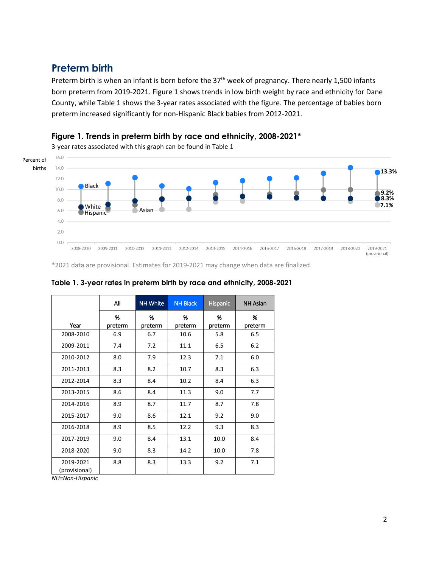## **Preterm birth**

Preterm birth is when an infant is born before the 37<sup>th</sup> week of pregnancy. There nearly 1,500 infants born preterm from 2019-2021. Figure 1 shows trends in low birth weight by race and ethnicity for Dane County, while Table 1 shows the 3-year rates associated with the figure. The percentage of babies born preterm increased significantly for non-Hispanic Black babies from 2012-2021.



**Figure 1. Trends in preterm birth by race and ethnicity, 2008-2021\***

\*2021 data are provisional. Estimates for 2019-2021 may change when data are finalized.

|                            | All          | <b>NH White</b> | <b>NH Black</b> | Hispanic     | <b>NH Asian</b> |
|----------------------------|--------------|-----------------|-----------------|--------------|-----------------|
| Year                       | %<br>preterm | %<br>preterm    | %<br>preterm    | %<br>preterm | %<br>preterm    |
| 2008-2010                  | 6.9          | 6.7             | 10.6            | 5.8          | 6.5             |
| 2009-2011                  | 7.4          | 7.2             | 11.1            | 6.5          | 6.2             |
| 2010-2012                  | 8.0          | 7.9             | 12.3            | 7.1          | 6.0             |
| 2011-2013                  | 8.3          | 8.2             | 10.7            | 8.3          | 6.3             |
| 2012-2014                  | 8.3          | 8.4             | 10.2            | 8.4          | 6.3             |
| 2013-2015                  | 8.6          | 8.4             | 11.3            | 9.0          | 7.7             |
| 2014-2016                  | 8.9          | 8.7             | 11.7            | 8.7          | 7.8             |
| 2015-2017                  | 9.0          | 8.6             | 12.1            | 9.2          | 9.0             |
| 2016-2018                  | 8.9          | 8.5             | 12.2            | 9.3          | 8.3             |
| 2017-2019                  | 9.0          | 8.4             | 13.1            | 10.0         | 8.4             |
| 2018-2020                  | 9.0          | 8.3             | 14.2            | 10.0         | 7.8             |
| 2019-2021<br>(provisional) | 8.8          | 8.3             | 13.3            | 9.2          | 7.1             |

|  | Table 1. 3-year rates in preterm birth by race and ethnicity, 2008-2021 |  |  |
|--|-------------------------------------------------------------------------|--|--|
|  |                                                                         |  |  |

*NH=Non-Hispanic*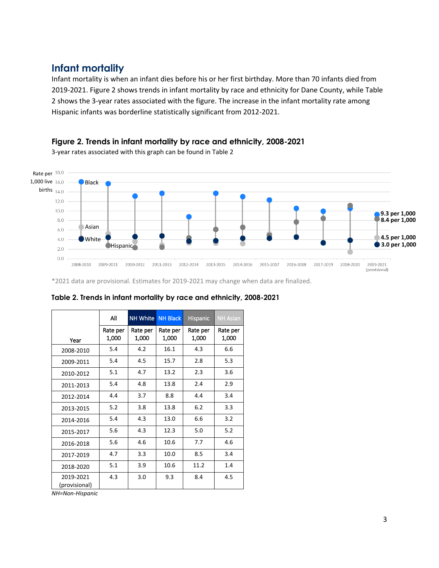## **Infant mortality**

Infant mortality is when an infant dies before his or her first birthday. More than 70 infants died from 2019-2021. Figure 2 shows trends in infant mortality by race and ethnicity for Dane County, while Table 2 shows the 3-year rates associated with the figure. The increase in the infant mortality rate among Hispanic infants was borderline statistically significant from 2012-2021.



3-year rates associated with this graph can be found in Table 2

\*2021 data are provisional. Estimates for 2019-2021 may change when data are finalized.

**Figure 2. Trends in infant mortality by race and ethnicity, 2008-2021**

|                            | All               | <b>NH White</b>   | <b>NH Black</b>   | <b>Hispanic</b>   | <b>NH</b> Asian   |
|----------------------------|-------------------|-------------------|-------------------|-------------------|-------------------|
| Year                       | Rate per<br>1,000 | Rate per<br>1,000 | Rate per<br>1,000 | Rate per<br>1,000 | Rate per<br>1,000 |
| 2008-2010                  | 5.4               | 4.2               | 16.1              | 4.3               | 6.6               |
| 2009-2011                  | 5.4               | 4.5               | 15.7              | 2.8               | 5.3               |
| 2010-2012                  | 5.1               | 4.7               | 13.2              | 2.3               | 3.6               |
| 2011-2013                  | 5.4               | 4.8               | 13.8              | 2.4               | 2.9               |
| 2012-2014                  | 4.4               | 3.7               | 8.8               | 4.4               | 3.4               |
| 2013-2015                  | 5.2               | 3.8               | 13.8              | 6.2               | 3.3               |
| 2014-2016                  | 5.4               | 4.3               | 13.0              | 6.6               | 3.2               |
| 2015-2017                  | 5.6               | 4.3               | 12.3              | 5.0               | 5.2               |
| 2016-2018                  | 5.6               | 4.6               | 10.6              | 7.7               | 4.6               |
| 2017-2019                  | 4.7               | 3.3               | 10.0              | 8.5               | 3.4               |
| 2018-2020                  | 5.1               | 3.9               | 10.6              | 11.2              | 1.4               |
| 2019-2021<br>(provisional) | 4.3               | 3.0               | 9.3               | 8.4               | 4.5               |

**Table 2. Trends in infant mortality by race and ethnicity, 2008-2021**

*NH=Non-Hispanic*